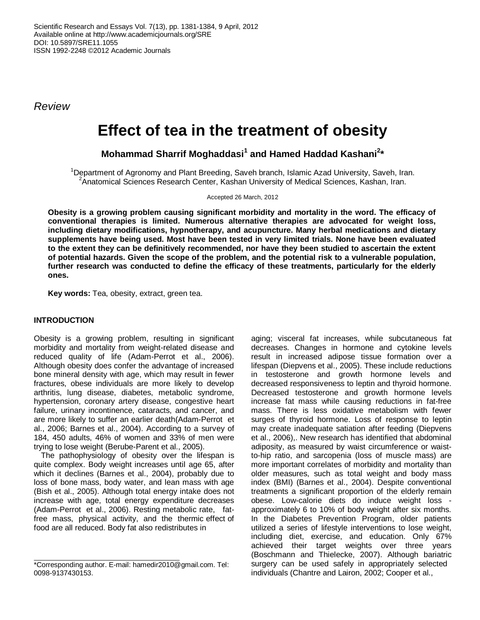*Review*

# **Effect of tea in the treatment of obesity**

**Mohammad Sharrif Moghaddasi<sup>1</sup> and Hamed Haddad Kashani<sup>2</sup> \***

<sup>1</sup>Department of Agronomy and Plant Breeding, Saveh branch, Islamic Azad University, Saveh, Iran. <sup>2</sup>Anatomical Sciences Research Center, Kashan University of Medical Sciences, Kashan, Iran.

Accepted 26 March, 2012

**Obesity is a growing problem causing significant morbidity and mortality in the word. The efficacy of conventional therapies is limited. Numerous alternative therapies are advocated for weight loss, including dietary modifications, hypnotherapy, and acupuncture. Many herbal medications and dietary supplements have being used. Most have been tested in very limited trials. None have been evaluated to the extent they can be definitively recommended, nor have they been studied to ascertain the extent of potential hazards. Given the scope of the problem, and the potential risk to a vulnerable population, further research was conducted to define the efficacy of these treatments, particularly for the elderly ones.** 

**Key words:** Tea, obesity, extract, green tea.

## **INTRODUCTION**

Obesity is a growing problem, resulting in significant morbidity and mortality from weight-related disease and reduced quality of life (Adam-Perrot et al., 2006). Although obesity does confer the advantage of increased bone mineral density with age, which may result in fewer fractures, obese individuals are more likely to develop arthritis, lung disease, diabetes, metabolic syndrome, hypertension, coronary artery disease, congestive heart failure, urinary incontinence, cataracts, and cancer, and are more likely to suffer an earlier death(Adam-Perrot et al., 2006; Barnes et al., 2004). According to a survey of 184, 450 adults, 46% of women and 33% of men were trying to lose weight (Berube-Parent et al., 2005).

The pathophysiology of obesity over the lifespan is quite complex. Body weight increases until age 65, after which it declines (Barnes et al., 2004), probably due to loss of bone mass, body water, and lean mass with age (Bish et al., 2005). Although total energy intake does not increase with age, total energy expenditure decreases (Adam-Perrot et al., 2006). Resting metabolic rate, fatfree mass, physical activity, and the thermic effect of food are all reduced. Body fat also redistributes in

aging; visceral fat increases, while subcutaneous fat decreases. Changes in hormone and cytokine levels result in increased adipose tissue formation over a lifespan (Diepvens et al., 2005). These include reductions in testosterone and growth hormone levels and decreased responsiveness to leptin and thyroid hormone. Decreased testosterone and growth hormone levels increase fat mass while causing reductions in fat-free mass. There is less oxidative metabolism with fewer surges of thyroid hormone. Loss of response to leptin may create inadequate satiation after feeding (Diepvens et al., 2006),. New research has identified that abdominal adiposity, as measured by waist circumference or waistto-hip ratio, and sarcopenia (loss of muscle mass) are more important correlates of morbidity and mortality than older measures, such as total weight and body mass index (BMI) (Barnes et al., 2004). Despite conventional treatments a significant proportion of the elderly remain obese. Low-calorie diets do induce weight loss approximately 6 to 10% of body weight after six months. In the Diabetes Prevention Program, older patients utilized a series of lifestyle interventions to lose weight, including diet, exercise, and education. Only 67% achieved their target weights over three years (Boschmann and Thielecke, 2007). Although bariatric surgery can be used safely in appropriately selected individuals (Chantre and Lairon, 2002; Cooper et al.,

<sup>\*</sup>Corresponding author. E-mail: hamedir2010@gmail.com. Tel: 0098-9137430153.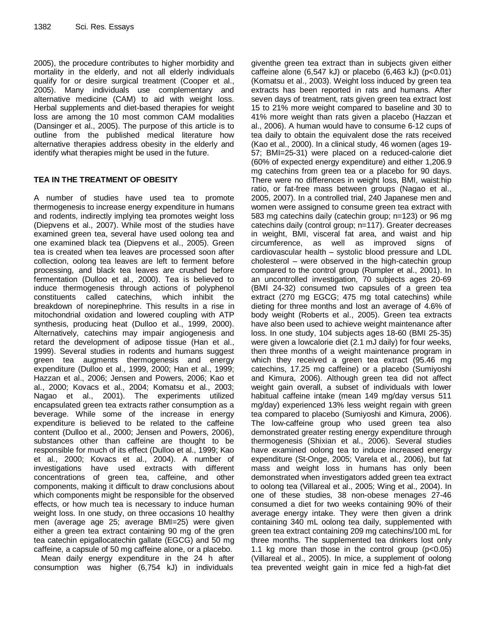2005), the procedure contributes to higher morbidity and mortality in the elderly, and not all elderly individuals qualify for or desire surgical treatment (Cooper et al., 2005). Many individuals use complementary and alternative medicine (CAM) to aid with weight loss. Herbal supplements and diet-based therapies for weight loss are among the 10 most common CAM modalities (Dansinger et al., 2005). The purpose of this article is to outline from the published medical literature how alternative therapies address obesity in the elderly and identify what therapies might be used in the future.

## **TEA IN THE TREATMENT OF OBESITY**

A number of studies have used tea to promote thermogenesis to increase energy expenditure in humans and rodents, indirectly implying tea promotes weight loss (Diepvens et al., 2007). While most of the studies have examined green tea, several have used oolong tea and one examined black tea (Diepvens et al., 2005). Green tea is created when tea leaves are processed soon after collection, oolong tea leaves are left to ferment before processing, and black tea leaves are crushed before fermentation (Dulloo et al., 2000). Tea is believed to induce thermogenesis through actions of polyphenol constituents called catechins, which inhibit the breakdown of norepinephrine. This results in a rise in mitochondrial oxidation and lowered coupling with ATP synthesis, producing heat (Dulloo et al., 1999, 2000). Alternatively, catechins may impair angiogenesis and retard the development of adipose tissue (Han et al., 1999). Several studies in rodents and humans suggest green tea augments thermogenesis and energy expenditure (Dulloo et al., 1999, 2000; Han et al., 1999; Hazzan et al., 2006; Jensen and Powers, 2006; Kao et al., 2000; Kovacs et al., 2004; Komatsu et al., 2003; Nagao et al., 2001). The experiments utilized encapsulated green tea extracts rather consumption as a beverage. While some of the increase in energy expenditure is believed to be related to the caffeine content (Dulloo et al., 2000; Jensen and Powers, 2006), substances other than caffeine are thought to be responsible for much of its effect (Dulloo et al., 1999; Kao et al., 2000; Kovacs et al., 2004). A number of investigations have used extracts with different concentrations of green tea, caffeine, and other components, making it difficult to draw conclusions about which components might be responsible for the observed effects, or how much tea is necessary to induce human weight loss. In one study, on three occasions 10 healthy men (average age 25; average BMI=25) were given either a green tea extract containing 90 mg of the gren tea catechin epigallocatechin gallate (EGCG) and 50 mg caffeine, a capsule of 50 mg caffeine alone, or a placebo.

Mean daily energy expenditure in the 24 h after consumption was higher (6,754 kJ) in individuals

giventhe green tea extract than in subjects given either caffeine alone  $(6,547 \text{ kJ})$  or placebo  $(6,463 \text{ kJ})$   $(p<0.01)$ (Komatsu et al., 2003). Weight loss induced by green tea extracts has been reported in rats and humans. After seven days of treatment, rats given green tea extract lost 15 to 21% more weight compared to baseline and 30 to 41% more weight than rats given a placebo (Hazzan et al., 2006). A human would have to consume 6-12 cups of tea daily to obtain the equivalent dose the rats received (Kao et al., 2000). In a clinical study, 46 women (ages 19- 57; BMI=25-31) were placed on a reduced-calorie diet (60% of expected energy expenditure) and either 1,206.9 mg catechins from green tea or a placebo for 90 days. There were no differences in weight loss, BMI, waist:hip ratio, or fat-free mass between groups (Nagao et al., 2005, 2007). In a controlled trial, 240 Japanese men and women were assigned to consume green tea extract with 583 mg catechins daily (catechin group; n=123) or 96 mg catechins daily (control group; n=117). Greater decreases in weight, BMI, visceral fat area, and waist and hip circumference, as well as improved signs of cardiovascular health – systolic blood pressure and LDL cholesterol – were observed in the high-catechin group compared to the control group (Rumpler et al., 2001). In an uncontrolled investigation, 70 subjects ages 20-69 (BMI 24-32) consumed two capsules of a green tea extract (270 mg EGCG; 475 mg total catechins) while dieting for three months and lost an average of 4.6% of body weight (Roberts et al., 2005). Green tea extracts have also been used to achieve weight maintenance after loss. In one study, 104 subjects ages 18-60 (BMI 25-35) were given a lowcalorie diet (2.1 mJ daily) for four weeks, then three months of a weight maintenance program in which they received a green tea extract (95.46 mg catechins, 17.25 mg caffeine) or a placebo (Sumiyoshi and Kimura, 2006). Although green tea did not affect weight gain overall, a subset of individuals with lower habitual caffeine intake (mean 149 mg/day versus 511 mg/day) experienced 13% less weight regain with green tea compared to placebo (Sumiyoshi and Kimura, 2006). The low-caffeine group who used green tea also demonstrated greater resting energy expenditure through thermogenesis (Shixian et al., 2006). Several studies have examined oolong tea to induce increased energy expenditure (St-Onge, 2005; Varela et al., 2006), but fat mass and weight loss in humans has only been demonstrated when investigators added green tea extract to oolong tea (Villareal et al., 2005; Wing et al., 2004). In one of these studies, 38 non-obese menages 27-46 consumed a diet for two weeks containing 90% of their average energy intake. They were then given a drink containing 340 mL oolong tea daily, supplemented with green tea extract containing 209 mg catechins/100 mL for three months. The supplemented tea drinkers lost only 1.1 kg more than those in the control group  $(p<0.05)$ (Villareal et al., 2005). In mice, a supplement of oolong tea prevented weight gain in mice fed a high-fat diet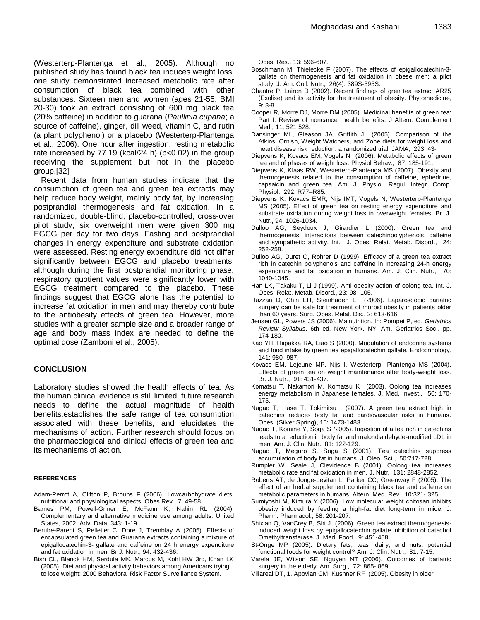(Westerterp-Plantenga et al., 2005). Although no published study has found black tea induces weight loss, one study demonstrated increased metabolic rate after consumption of black tea combined with other substances. Sixteen men and women (ages 21-55; BMI 20-30) took an extract consisting of 600 mg black tea (20% caffeine) in addition to guarana (*Paullinia cupana*; a source of caffeine), ginger, dill weed, vitamin C, and rutin (a plant polyphenol) or a placebo (Westerterp-Plantenga et al., 2006). One hour after ingestion, resting metabolic rate increased by  $77.19$  (kcal/24 h) ( $p<0.02$ ) in the group receiving the supplement but not in the placebo group.[32]

Recent data from human studies indicate that the consumption of green tea and green tea extracts may help reduce body weight, mainly body fat, by increasing postprandial thermogenesis and fat oxidation. In a randomized, double-blind, placebo-controlled, cross-over pilot study, six overweight men were given 300 mg EGCG per day for two days. Fasting and postprandial changes in energy expenditure and substrate oxidation were assessed. Resting energy expenditure did not differ significantly between EGCG and placebo treatments, although during the first postprandial monitoring phase, respiratory quotient values were significantly lower with EGCG treatment compared to the placebo. These findings suggest that EGCG alone has the potential to increase fat oxidation in men and may thereby contribute to the antiobesity effects of green tea. However, more studies with a greater sample size and a broader range of age and body mass index are needed to define the optimal dose (Zamboni et al., 2005).

#### **CONCLUSION**

Laboratory studies showed the health effects of tea. As the human clinical evidence is still limited, future research needs to define the actual magnitude of health benefits,establishes the safe range of tea consumption associated with these benefits, and elucidates the mechanisms of action. Further research should focus on the pharmacological and clinical effects of green tea and its mechanisms of action.

#### **REFERENCES**

- Adam-Perrot A, Clifton P, Brouns F (2006). Lowcarbohydrate diets: nutritional and physiological aspects. Obes Rev., 7: 49-58.
- Barnes PM, Powell-Griner E, McFann K, Nahin RL (2004). Complementary and alternative medicine use among adults: United States, 2002. Adv. Data, 343: 1-19.
- Berube-Parent S, Pelletier C, Dore J, Tremblay A (2005). Effects of encapsulated green tea and Guarana extracts containing a mixture of epigallocatechin-3- gallate and caffeine on 24 h energy expenditure and fat oxidation in men. Br J. Nutr., 94: 432-436.
- Bish CL, Blanck HM, Serdula MK, Marcus M, Kohl HW 3rd, Khan LK (2005). Diet and physical activity behaviors among Americans trying to lose weight: 2000 Behavioral Risk Factor Surveillance System.

Obes. Res., 13: 596-607.

- Boschmann M, Thielecke F (2007). The effects of epigallocatechin-3 gallate on thermogenesis and fat oxidation in obese men: a pilot study. J. Am. Coll. Nutr., 26(4): 389S-395S.
- Chantre P, Lairon D (2002). Recent findings of gren tea extract AR25 (Exolise) and its activity for the treatment of obesity. Phytomedicine, 9: 3-8.
- Cooper R, Morre DJ, Morre DM (2005). Medicinal benefits of green tea: Part I. Review of noncancer health benefits. J Altern. Complement Med., 11: 521 528.
- Dansinger ML, Gleason JA, Griffith JL (2005). Comparison of the Atkins, Ornish, Weight Watchers, and Zone diets for weight loss and heart disease risk reduction: a randomized trial. JAMA, 293: 43-
- Diepvens K, Kovacs EM, Vogels N (2006). Metabolic effects of green tea and of phases of weight loss. Physiol Behav., 87: 185-191.
- Diepvens K, Klaas RW, Westerterp-Plantenga MS (2007). Obesity and thermogenesis related to the consumption of caffeine, ephedrine, capsaicin and green tea. Am. J. Physiol. Regul. Integr. Comp. Physiol., 292: R77–R85.
- Diepvens K, Kovacs EMR, Nijs IMT, Vogels N, Westerterp-Plantenga MS (2005). Effect of green tea on resting energy expenditure and substrate oxidation during weight loss in overweight females. Br. J. Nutr., 94: 1026-1034.
- Dulloo AG, Seydoux J, Girardier L (2000). Green tea and thermogenesis: interactions between catechinpolyphenols, caffeine and sympathetic activity. Int. J. Obes. Relat. Metab. Disord., 24: 252-258.
- Dulloo AG, Duret C, Rohrer D (1999). Efficacy of a green tea extract rich in catechin polyphenols and caffeine in increasing 24-h energy expenditure and fat oxidation in humans. Am. J. Clin. Nutr., 70: 1040-1045.
- Han LK, Takaku T, Li J (1999). Anti-obesity action of oolong tea. Int. J. Obes. Relat. Metab. Disord., 23: 98- 105.
- Hazzan D, Chin EH, Steinhagen E (2006). Laparoscopic bariatric surgery can be safe for treatment of morbid obesity in patients older than 60 years. Surg. Obes. Relat. Dis., 2: 613-616.
- Jensen GL, Powers JS (2006). Malnutrition. In: Pompei P, ed. *Geriatrics Review Syllabus*. 6th ed. New York, NY: Am. Geriatrics Soc., pp. 174-180.
- Kao YH, Hiipakka RA, Liao S (2000). Modulation of endocrine systems and food intake by green tea epigallocatechin gallate. Endocrinology, 141: 980- 987.
- Kovacs EM, Lejeune MP, Nijs I, Westerterp- Plantenga MS (2004). Effects of green tea on weight maintenance after body-weight loss. Br. J. Nutr., 91: 431-437.
- Komatsu T, Nakamori M, Komatsu K (2003). Oolong tea increases energy metabolism in Japanese females. J. Med. Invest., 50: 170- 175.
- Nagao T, Hase T, Tokimitsu I (2007). A green tea extract high in catechins reduces body fat and cardiovascular risks in humans. Obes. (Silver Spring), 15: 1473-1483.
- Nagao T, Komine Y, Soga S *(*2005). Ingestion of a tea rich in catechins leads to a reduction in body fat and malondialdehyde-modified LDL in men. Am. J. Clin. Nutr., 81: 122-129.
- Nagao T, Meguro S, Soga S (2001). Tea catechins suppress accumulation of body fat in humans. J. Oleo. Sci., 50:717-728.
- Rumpler W, Seale J, Clevidence B (2001). Oolong tea increases metabolic rate and fat oxidation in men. J. Nutr. 131: 2848-2852.
- Roberts AT, de Jonge-Levitan L, Parker CC, Greenway F (2005). The effect of an herbal supplement containing black tea and caffeine on metabolic parameters in humans. Altern. Med. Rev., 10:321- 325.
- Sumiyoshi M, Kimura Y (2006). Low molecular weight chitosan inhibits obesity induced by feeding a high-fat diet long-term in mice. J. Pharm. Pharmacol., 58: 201-207.
- Shixian Q, VanCrey B, Shi J (2006). Green tea extract thermogenesisinduced weight loss by epigallocatechin gallate inhibition of catechol Omethyltransferase. J. Med. Food, 9: 451-458.
- St-Onge MP (2005). Dietary fats, teas, dairy, and nuts: potential functional foods for weight control? Am. J. Clin. Nutr., 81: 7-15.
- Varela JE, Wilson SE, Nguyen NT (2006). Outcomes of bariatric surgery in the elderly. Am. Surg., 72: 865- 869.
- Villareal DT, 1. Apovian CM, Kushner RF (2005). Obesity in older